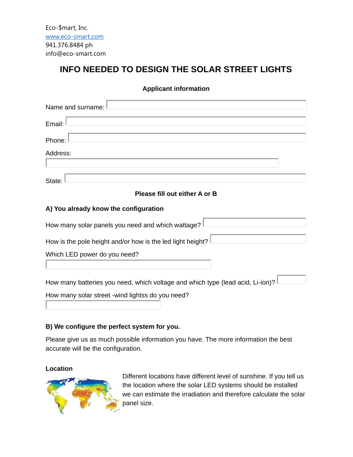Eco-\$mart, Inc. www.eco-smart.com 941.376.8484 ph info@eco-smart.com

# **INFO NEEDED TO DESIGN THE SOLAR STREET LIGHTS**

**Applicant information**

| Name and surname:                                                              |  |  |  |
|--------------------------------------------------------------------------------|--|--|--|
| Email:                                                                         |  |  |  |
| Phone:                                                                         |  |  |  |
| Address:                                                                       |  |  |  |
|                                                                                |  |  |  |
| State:                                                                         |  |  |  |
| Please fill out either A or B                                                  |  |  |  |
| A) You already know the configuration                                          |  |  |  |
| How many solar panels you need and which wattage?                              |  |  |  |
| How is the pole height and/or how is the led light height?                     |  |  |  |
| Which LED power do you need?                                                   |  |  |  |
|                                                                                |  |  |  |
| How many batteries you need, which voltage and which type (lead acid, Li-ion)? |  |  |  |
| How many solar street -wind lightss do you need?                               |  |  |  |

#### **B) We configure the perfect system for you.**

Please give us as much possible information you have. The more information the best accurate will be the configuration.

#### **Location**



Different locations have different level of sunshine. If you tell us the location where the solar LED systems should be installed we can estimate the irradiation and therefore calculate the solar panel size.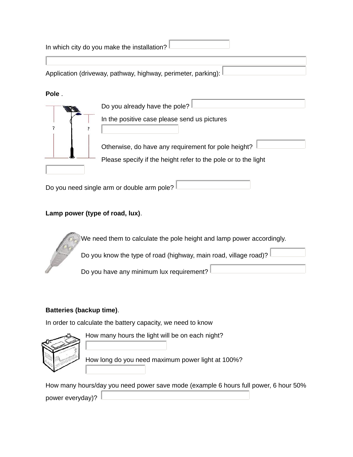| In which city do you make the installation?                   |                                                                                                                       |  |  |  |
|---------------------------------------------------------------|-----------------------------------------------------------------------------------------------------------------------|--|--|--|
|                                                               |                                                                                                                       |  |  |  |
| Application (driveway, pathway, highway, perimeter, parking): |                                                                                                                       |  |  |  |
| Pole.                                                         | Do you already have the pole?<br>In the positive case please send us pictures                                         |  |  |  |
|                                                               | Otherwise, do have any requirement for pole height?<br>Please specify if the height refer to the pole or to the light |  |  |  |
| Do you need single arm or double arm pole?                    |                                                                                                                       |  |  |  |

# **Lamp power (type of road, lux)**.

We need them to calculate the pole height and lamp power accordingly.

Do you know the type of road (highway, main road, village road)?

Do you have any minimum lux requirement?

### **Batteries (backup time)**.

In order to calculate the battery capacity, we need to know



How many hours the light will be on each night?

How long do you need maximum power light at 100%?

How many hours/day you need power save mode (example 6 hours full power, 6 hour 50% power everyday)?